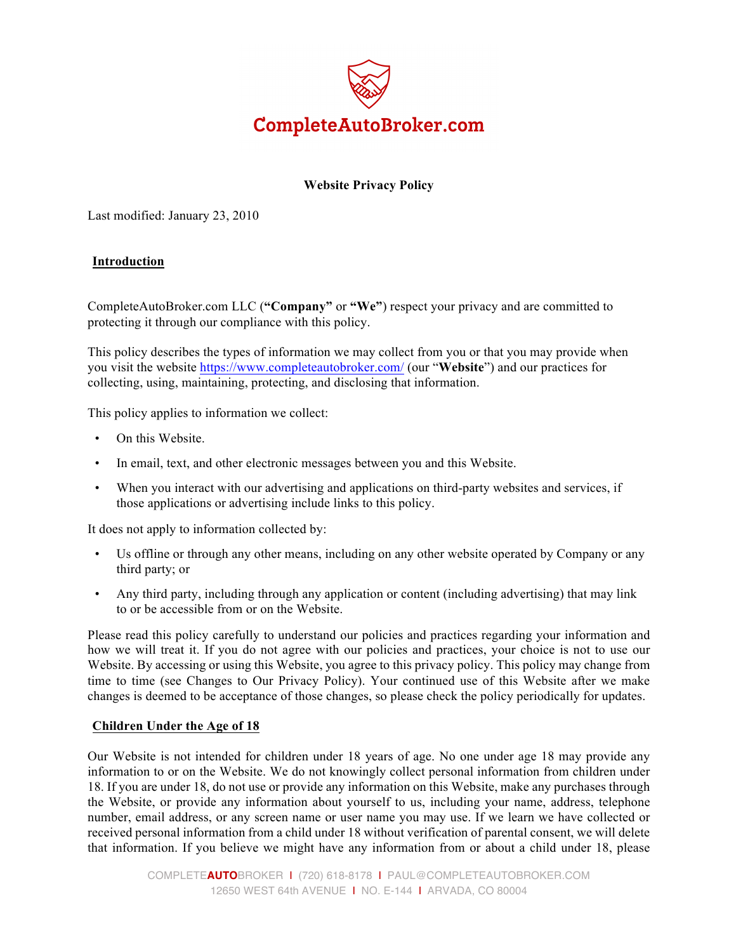

# **Website Privacy Policy**

Last modified: January 23, 2010

## **Introduction**

CompleteAutoBroker.com LLC (**"Company"** or **"We"**) respect your privacy and are committed to protecting it through our compliance with this policy.

This policy describes the types of information we may collect from you or that you may provide when you visit the website https://www.completeautobroker.com/ (our "**Website**") and our practices for collecting, using, maintaining, protecting, and disclosing that information.

This policy applies to information we collect:

- On this Website.
- In email, text, and other electronic messages between you and this Website.
- When you interact with our advertising and applications on third-party websites and services, if those applications or advertising include links to this policy.

It does not apply to information collected by:

- Us offline or through any other means, including on any other website operated by Company or any third party; or
- Any third party, including through any application or content (including advertising) that may link to or be accessible from or on the Website.

Please read this policy carefully to understand our policies and practices regarding your information and how we will treat it. If you do not agree with our policies and practices, your choice is not to use our Website. By accessing or using this Website, you agree to this privacy policy. This policy may change from time to time (see Changes to Our Privacy Policy). Your continued use of this Website after we make changes is deemed to be acceptance of those changes, so please check the policy periodically for updates.

#### **Children Under the Age of 18**

Our Website is not intended for children under 18 years of age. No one under age 18 may provide any information to or on the Website. We do not knowingly collect personal information from children under 18. If you are under 18, do not use or provide any information on this Website, make any purchases through the Website, or provide any information about yourself to us, including your name, address, telephone number, email address, or any screen name or user name you may use. If we learn we have collected or received personal information from a child under 18 without verification of parental consent, we will delete that information. If you believe we might have any information from or about a child under 18, please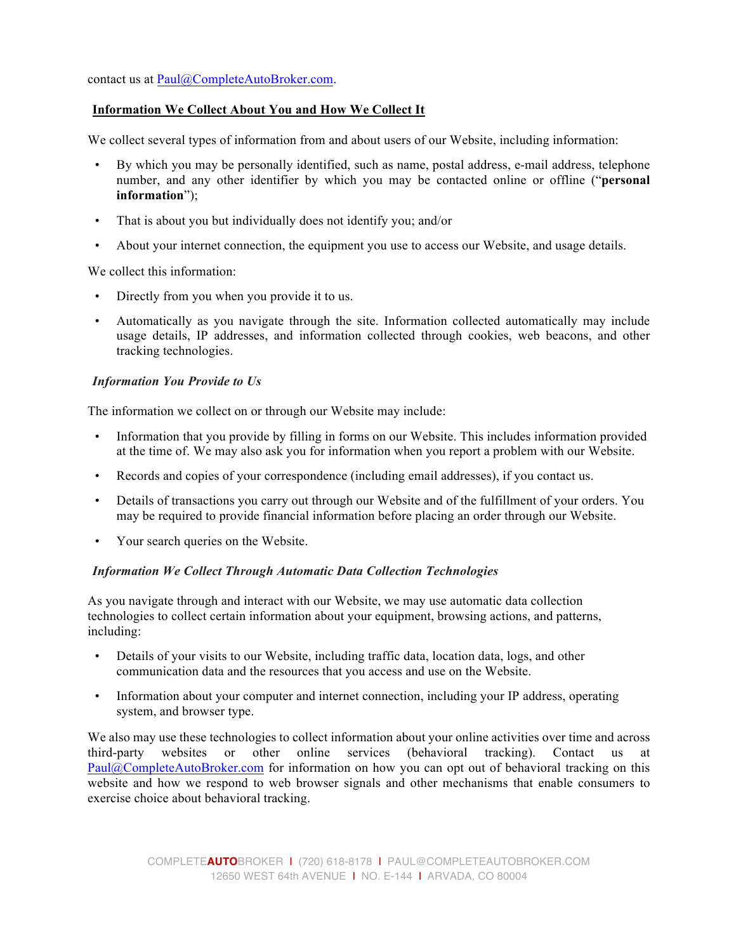contact us at Paul@CompleteAutoBroker.com.

## **Information We Collect About You and How We Collect It**

We collect several types of information from and about users of our Website, including information:

- By which you may be personally identified, such as name, postal address, e-mail address, telephone number, and any other identifier by which you may be contacted online or offline ("**personal information**");
- That is about you but individually does not identify you; and/or
- About your internet connection, the equipment you use to access our Website, and usage details.

We collect this information:

- Directly from you when you provide it to us.
- Automatically as you navigate through the site. Information collected automatically may include usage details, IP addresses, and information collected through cookies, web beacons, and other tracking technologies.

#### *Information You Provide to Us*

The information we collect on or through our Website may include:

- Information that you provide by filling in forms on our Website. This includes information provided at the time of. We may also ask you for information when you report a problem with our Website.
- Records and copies of your correspondence (including email addresses), if you contact us.
- Details of transactions you carry out through our Website and of the fulfillment of your orders. You may be required to provide financial information before placing an order through our Website.
- Your search queries on the Website.

## *Information We Collect Through Automatic Data Collection Technologies*

As you navigate through and interact with our Website, we may use automatic data collection technologies to collect certain information about your equipment, browsing actions, and patterns, including:

- Details of your visits to our Website, including traffic data, location data, logs, and other communication data and the resources that you access and use on the Website.
- Information about your computer and internet connection, including your IP address, operating system, and browser type.

We also may use these technologies to collect information about your online activities over time and across third-party websites or other online services (behavioral tracking). Contact us at Paul@CompleteAutoBroker.com for information on how you can opt out of behavioral tracking on this website and how we respond to web browser signals and other mechanisms that enable consumers to exercise choice about behavioral tracking.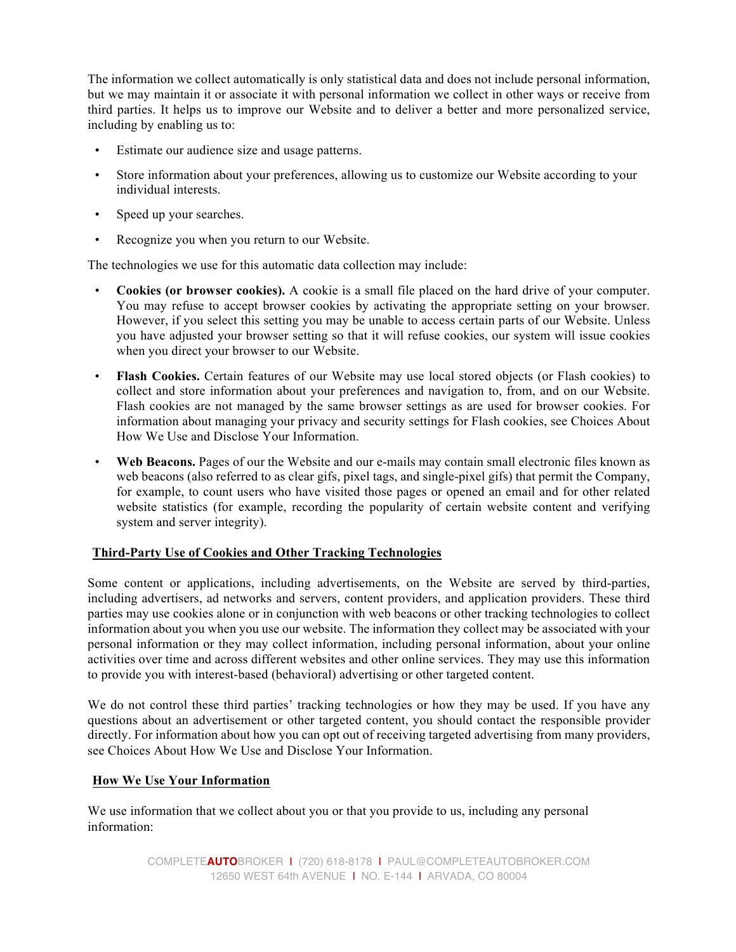The information we collect automatically is only statistical data and does not include personal information, but we may maintain it or associate it with personal information we collect in other ways or receive from third parties. It helps us to improve our Website and to deliver a better and more personalized service, including by enabling us to:

- Estimate our audience size and usage patterns.
- Store information about your preferences, allowing us to customize our Website according to your individual interests.
- Speed up your searches.
- Recognize you when you return to our Website.

The technologies we use for this automatic data collection may include:

- **Cookies (or browser cookies).** A cookie is a small file placed on the hard drive of your computer. You may refuse to accept browser cookies by activating the appropriate setting on your browser. However, if you select this setting you may be unable to access certain parts of our Website. Unless you have adjusted your browser setting so that it will refuse cookies, our system will issue cookies when you direct your browser to our Website.
- **Flash Cookies.** Certain features of our Website may use local stored objects (or Flash cookies) to collect and store information about your preferences and navigation to, from, and on our Website. Flash cookies are not managed by the same browser settings as are used for browser cookies. For information about managing your privacy and security settings for Flash cookies, see Choices About How We Use and Disclose Your Information.
- Web Beacons. Pages of our the Website and our e-mails may contain small electronic files known as web beacons (also referred to as clear gifs, pixel tags, and single-pixel gifs) that permit the Company, for example, to count users who have visited those pages or opened an email and for other related website statistics (for example, recording the popularity of certain website content and verifying system and server integrity).

## **Third-Party Use of Cookies and Other Tracking Technologies**

Some content or applications, including advertisements, on the Website are served by third-parties, including advertisers, ad networks and servers, content providers, and application providers. These third parties may use cookies alone or in conjunction with web beacons or other tracking technologies to collect information about you when you use our website. The information they collect may be associated with your personal information or they may collect information, including personal information, about your online activities over time and across different websites and other online services. They may use this information to provide you with interest-based (behavioral) advertising or other targeted content.

We do not control these third parties' tracking technologies or how they may be used. If you have any questions about an advertisement or other targeted content, you should contact the responsible provider directly. For information about how you can opt out of receiving targeted advertising from many providers, see Choices About How We Use and Disclose Your Information.

## **How We Use Your Information**

We use information that we collect about you or that you provide to us, including any personal information: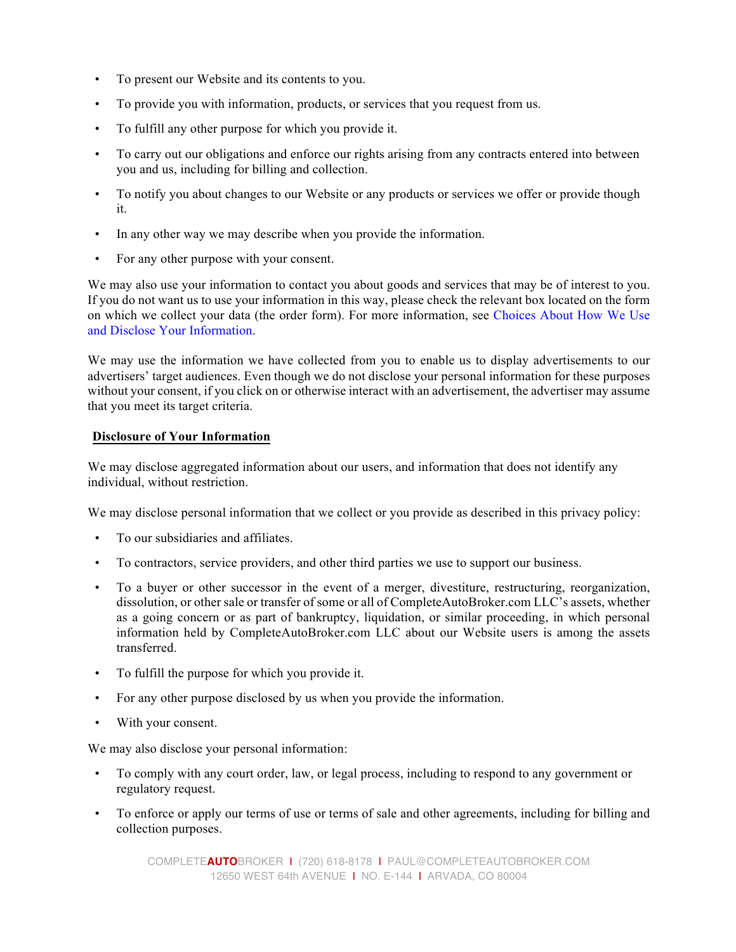- To present our Website and its contents to you.
- To provide you with information, products, or services that you request from us.
- To fulfill any other purpose for which you provide it.
- To carry out our obligations and enforce our rights arising from any contracts entered into between you and us, including for billing and collection.
- To notify you about changes to our Website or any products or services we offer or provide though it.
- In any other way we may describe when you provide the information.
- For any other purpose with your consent.

We may also use your information to contact you about goods and services that may be of interest to you. If you do not want us to use your information in this way, please check the relevant box located on the form on which we collect your data (the order form). For more information, see Choices About How We Use and Disclose Your Information.

We may use the information we have collected from you to enable us to display advertisements to our advertisers' target audiences. Even though we do not disclose your personal information for these purposes without your consent, if you click on or otherwise interact with an advertisement, the advertiser may assume that you meet its target criteria.

## **Disclosure of Your Information**

We may disclose aggregated information about our users, and information that does not identify any individual, without restriction.

We may disclose personal information that we collect or you provide as described in this privacy policy:

- To our subsidiaries and affiliates.
- To contractors, service providers, and other third parties we use to support our business.
- To a buyer or other successor in the event of a merger, divestiture, restructuring, reorganization, dissolution, or other sale or transfer of some or all of CompleteAutoBroker.com LLC's assets, whether as a going concern or as part of bankruptcy, liquidation, or similar proceeding, in which personal information held by CompleteAutoBroker.com LLC about our Website users is among the assets transferred.
- To fulfill the purpose for which you provide it.
- For any other purpose disclosed by us when you provide the information.
- With your consent.

We may also disclose your personal information:

- To comply with any court order, law, or legal process, including to respond to any government or regulatory request.
- To enforce or apply our terms of use or terms of sale and other agreements, including for billing and collection purposes.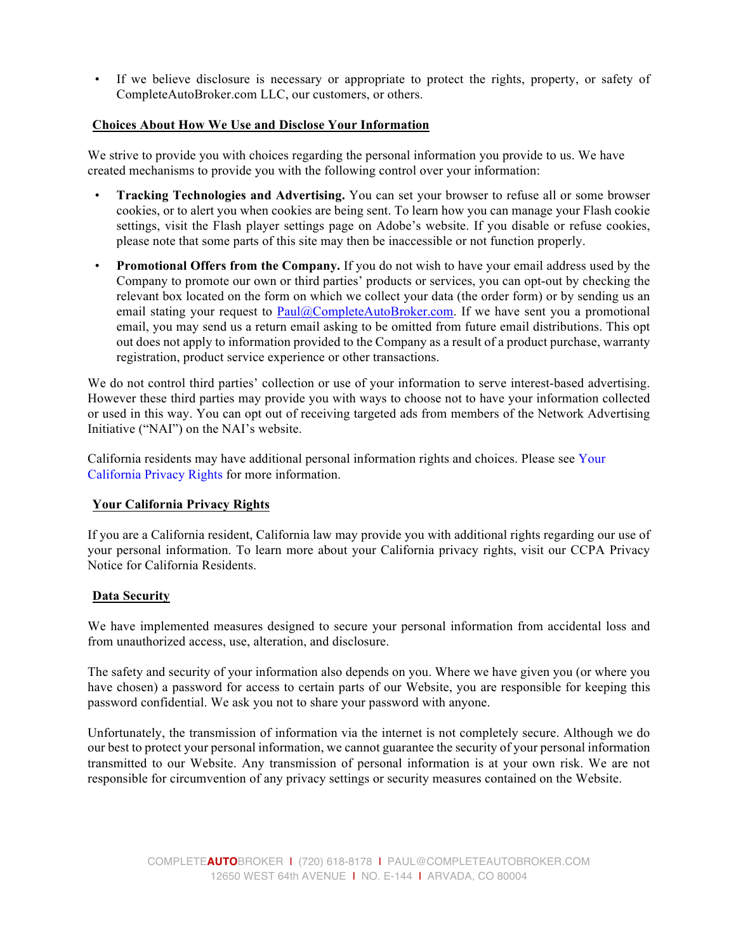• If we believe disclosure is necessary or appropriate to protect the rights, property, or safety of CompleteAutoBroker.com LLC, our customers, or others.

### **Choices About How We Use and Disclose Your Information**

We strive to provide you with choices regarding the personal information you provide to us. We have created mechanisms to provide you with the following control over your information:

- **Tracking Technologies and Advertising.** You can set your browser to refuse all or some browser cookies, or to alert you when cookies are being sent. To learn how you can manage your Flash cookie settings, visit the Flash player settings page on Adobe's website. If you disable or refuse cookies, please note that some parts of this site may then be inaccessible or not function properly.
- **Promotional Offers from the Company.** If you do not wish to have your email address used by the Company to promote our own or third parties' products or services, you can opt-out by checking the relevant box located on the form on which we collect your data (the order form) or by sending us an email stating your request to Paul@CompleteAutoBroker.com. If we have sent you a promotional email, you may send us a return email asking to be omitted from future email distributions. This opt out does not apply to information provided to the Company as a result of a product purchase, warranty registration, product service experience or other transactions.

We do not control third parties' collection or use of your information to serve interest-based advertising. However these third parties may provide you with ways to choose not to have your information collected or used in this way. You can opt out of receiving targeted ads from members of the Network Advertising Initiative ("NAI") on the NAI's website.

California residents may have additional personal information rights and choices. Please see Your California Privacy Rights for more information.

## **Your California Privacy Rights**

If you are a California resident, California law may provide you with additional rights regarding our use of your personal information. To learn more about your California privacy rights, visit our CCPA Privacy Notice for California Residents.

#### **Data Security**

We have implemented measures designed to secure your personal information from accidental loss and from unauthorized access, use, alteration, and disclosure.

The safety and security of your information also depends on you. Where we have given you (or where you have chosen) a password for access to certain parts of our Website, you are responsible for keeping this password confidential. We ask you not to share your password with anyone.

Unfortunately, the transmission of information via the internet is not completely secure. Although we do our best to protect your personal information, we cannot guarantee the security of your personal information transmitted to our Website. Any transmission of personal information is at your own risk. We are not responsible for circumvention of any privacy settings or security measures contained on the Website.